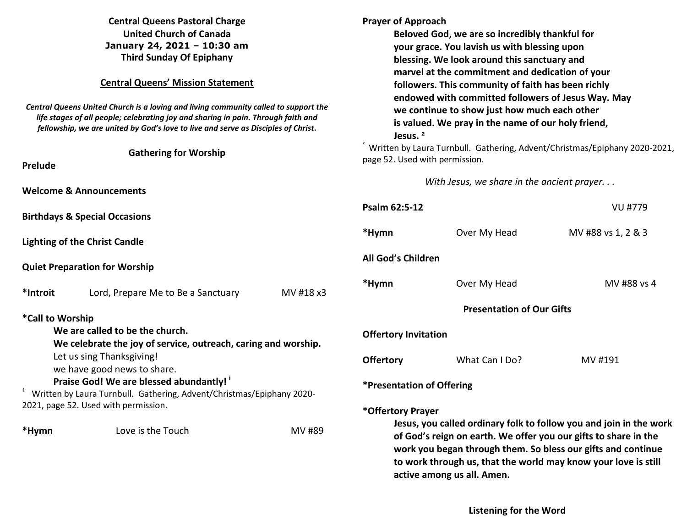| <b>Central Queens Pastoral Charge</b><br><b>United Church of Canada</b><br>January 24, 2021 - 10:30 am<br><b>Third Sunday Of Epiphany</b><br><b>Central Queens' Mission Statement</b><br>Central Queens United Church is a loving and living community called to support the<br>life stages of all people; celebrating joy and sharing in pain. Through faith and |                                                          |           | <b>Prayer of Approach</b><br>Beloved God, we are so incredibly thankful for<br>your grace. You lavish us with blessing upon<br>blessing. We look around this sanctuary and<br>marvel at the commitment and dedication of your<br>followers. This community of faith has been richly<br>endowed with committed followers of Jesus Way. May<br>we continue to show just how much each other<br>is valued. We pray in the name of our holy friend, |                |                    |
|-------------------------------------------------------------------------------------------------------------------------------------------------------------------------------------------------------------------------------------------------------------------------------------------------------------------------------------------------------------------|----------------------------------------------------------|-----------|-------------------------------------------------------------------------------------------------------------------------------------------------------------------------------------------------------------------------------------------------------------------------------------------------------------------------------------------------------------------------------------------------------------------------------------------------|----------------|--------------------|
| fellowship, we are united by God's love to live and serve as Disciples of Christ.<br><b>Gathering for Worship</b>                                                                                                                                                                                                                                                 |                                                          |           | Jesus. <sup>2</sup><br>Written by Laura Turnbull. Gathering, Advent/Christmas/Epiphany 2020-2021,                                                                                                                                                                                                                                                                                                                                               |                |                    |
| Prelude                                                                                                                                                                                                                                                                                                                                                           |                                                          |           | page 52. Used with permission.                                                                                                                                                                                                                                                                                                                                                                                                                  |                |                    |
| <b>Welcome &amp; Announcements</b>                                                                                                                                                                                                                                                                                                                                |                                                          |           | With Jesus, we share in the ancient prayer                                                                                                                                                                                                                                                                                                                                                                                                      |                |                    |
| <b>Birthdays &amp; Special Occasions</b>                                                                                                                                                                                                                                                                                                                          |                                                          |           | Psalm 62:5-12                                                                                                                                                                                                                                                                                                                                                                                                                                   |                | VU #779            |
|                                                                                                                                                                                                                                                                                                                                                                   | <b>Lighting of the Christ Candle</b>                     |           | *Hymn                                                                                                                                                                                                                                                                                                                                                                                                                                           | Over My Head   | MV #88 vs 1, 2 & 3 |
| <b>Quiet Preparation for Worship</b>                                                                                                                                                                                                                                                                                                                              |                                                          |           | All God's Children                                                                                                                                                                                                                                                                                                                                                                                                                              |                |                    |
| *Introit                                                                                                                                                                                                                                                                                                                                                          | Lord, Prepare Me to Be a Sanctuary                       | MV #18 x3 | *Hymn                                                                                                                                                                                                                                                                                                                                                                                                                                           | Over My Head   | MV #88 vs 4        |
| *Call to Worship                                                                                                                                                                                                                                                                                                                                                  |                                                          |           | <b>Presentation of Our Gifts</b>                                                                                                                                                                                                                                                                                                                                                                                                                |                |                    |
| We are called to be the church.<br>We celebrate the joy of service, outreach, caring and worship.                                                                                                                                                                                                                                                                 |                                                          |           | <b>Offertory Invitation</b>                                                                                                                                                                                                                                                                                                                                                                                                                     |                |                    |
|                                                                                                                                                                                                                                                                                                                                                                   | Let us sing Thanksgiving!<br>we have good news to share. |           | <b>Offertory</b>                                                                                                                                                                                                                                                                                                                                                                                                                                | What Can I Do? | MV #191            |
| Praise God! We are blessed abundantly!<br><sup>1</sup> Written by Laura Turnbull. Gathering, Advent/Christmas/Epiphany 2020-                                                                                                                                                                                                                                      |                                                          |           | *Presentation of Offering                                                                                                                                                                                                                                                                                                                                                                                                                       |                |                    |
|                                                                                                                                                                                                                                                                                                                                                                   | 2021, page 52. Used with permission.                     |           | *Offertory Prayer                                                                                                                                                                                                                                                                                                                                                                                                                               |                |                    |
| *Hymn                                                                                                                                                                                                                                                                                                                                                             | Love is the Touch                                        | MV #89    | Jesus, you called ordinary folk to follow you and join in the work<br>of God's reign on earth. We offer you our gifts to share in the<br>work you began through them. So bless our gifts and continue<br>to work through us, that the world may know your love is still<br>active among us all. Amen.                                                                                                                                           |                |                    |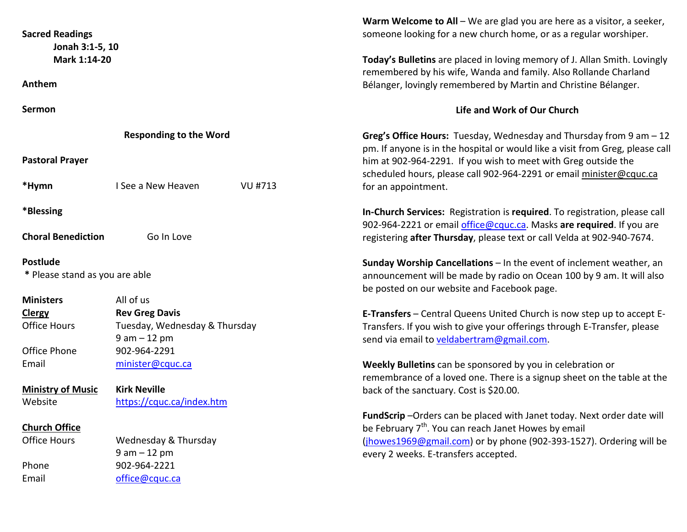| <b>Sacred Readings</b><br>Jonah 3:1-5, 10<br>Mark 1:14-20 |                               | Warm Welcome to All $-$ We are glad you are here as a visitor, a seeker,<br>someone looking for a new church home, or as a regular worshiper.<br>Today's Bulletins are placed in loving memory of J. Allan Smith. Lovingly |
|-----------------------------------------------------------|-------------------------------|----------------------------------------------------------------------------------------------------------------------------------------------------------------------------------------------------------------------------|
| Anthem                                                    |                               | remembered by his wife, Wanda and family. Also Rollande Charland<br>Bélanger, lovingly remembered by Martin and Christine Bélanger.                                                                                        |
| Sermon                                                    |                               | Life and Work of Our Church                                                                                                                                                                                                |
|                                                           | <b>Responding to the Word</b> | Greg's Office Hours: Tuesday, Wednesday and Thursday from $9$ am $-12$<br>pm. If anyone is in the hospital or would like a visit from Greg, please call                                                                    |
| <b>Pastoral Prayer</b>                                    |                               | him at 902-964-2291. If you wish to meet with Greg outside the<br>scheduled hours, please call 902-964-2291 or email minister@cquc.ca                                                                                      |
| *Hymn                                                     | I See a New Heaven<br>VU #713 | for an appointment.                                                                                                                                                                                                        |
| *Blessing                                                 |                               | In-Church Services: Registration is required. To registration, please call<br>902-964-2221 or email office@cquc.ca. Masks are required. If you are                                                                         |
| <b>Choral Benediction</b>                                 | Go In Love                    | registering after Thursday, please text or call Velda at 902-940-7674.                                                                                                                                                     |
| <b>Postlude</b>                                           |                               | Sunday Worship Cancellations - In the event of inclement weather, an                                                                                                                                                       |
| * Please stand as you are able                            |                               | announcement will be made by radio on Ocean 100 by 9 am. It will also<br>be posted on our website and Facebook page.                                                                                                       |
| <b>Ministers</b>                                          | All of us                     |                                                                                                                                                                                                                            |
| <b>Clergy</b>                                             | <b>Rev Greg Davis</b>         | E-Transfers - Central Queens United Church is now step up to accept E-                                                                                                                                                     |
| <b>Office Hours</b>                                       | Tuesday, Wednesday & Thursday | Transfers. If you wish to give your offerings through E-Transfer, please                                                                                                                                                   |
|                                                           | $9 am - 12 pm$                | send via email to veldabertram@gmail.com.                                                                                                                                                                                  |
| Office Phone                                              | 902-964-2291                  |                                                                                                                                                                                                                            |
| Email                                                     | minister@cquc.ca              | Weekly Bulletins can be sponsored by you in celebration or<br>remembrance of a loved one. There is a signup sheet on the table at the                                                                                      |
| <b>Ministry of Music</b>                                  | <b>Kirk Neville</b>           | back of the sanctuary. Cost is \$20.00.                                                                                                                                                                                    |
| Website                                                   | https://cquc.ca/index.htm     |                                                                                                                                                                                                                            |
| <b>Church Office</b>                                      |                               | FundScrip-Orders can be placed with Janet today. Next order date will<br>be February 7 <sup>th</sup> . You can reach Janet Howes by email                                                                                  |
| <b>Office Hours</b>                                       | Wednesday & Thursday          | (jhowes1969@gmail.com) or by phone (902-393-1527). Ordering will be                                                                                                                                                        |
|                                                           | $9 am - 12 pm$                | every 2 weeks. E-transfers accepted.                                                                                                                                                                                       |
| Phone                                                     | 902-964-2221                  |                                                                                                                                                                                                                            |
| Email                                                     | office@cquc.ca                |                                                                                                                                                                                                                            |
|                                                           |                               |                                                                                                                                                                                                                            |